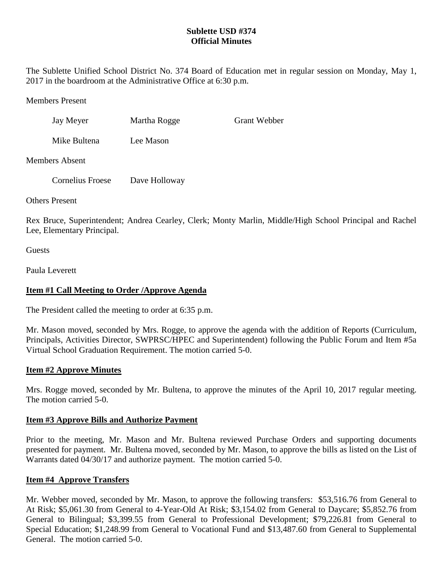# **Sublette USD #374 Official Minutes**

The Sublette Unified School District No. 374 Board of Education met in regular session on Monday, May 1, 2017 in the boardroom at the Administrative Office at 6:30 p.m.

Members Present

| Jay Meyer             | Martha Rogge | <b>Grant Webber</b> |
|-----------------------|--------------|---------------------|
| Mike Bultena          | Lee Mason    |                     |
| <b>Members Absent</b> |              |                     |

Cornelius Froese Dave Holloway

Others Present

Rex Bruce, Superintendent; Andrea Cearley, Clerk; Monty Marlin, Middle/High School Principal and Rachel Lee, Elementary Principal.

**Guests** 

Paula Leverett

# **Item #1 Call Meeting to Order /Approve Agenda**

The President called the meeting to order at 6:35 p.m.

Mr. Mason moved, seconded by Mrs. Rogge, to approve the agenda with the addition of Reports (Curriculum, Principals, Activities Director, SWPRSC/HPEC and Superintendent) following the Public Forum and Item #5a Virtual School Graduation Requirement. The motion carried 5-0.

### **Item #2 Approve Minutes**

Mrs. Rogge moved, seconded by Mr. Bultena, to approve the minutes of the April 10, 2017 regular meeting. The motion carried 5-0.

### **Item #3 Approve Bills and Authorize Payment**

Prior to the meeting, Mr. Mason and Mr. Bultena reviewed Purchase Orders and supporting documents presented for payment. Mr. Bultena moved, seconded by Mr. Mason, to approve the bills as listed on the List of Warrants dated 04/30/17 and authorize payment. The motion carried 5-0.

### **Item #4 Approve Transfers**

Mr. Webber moved, seconded by Mr. Mason, to approve the following transfers: \$53,516.76 from General to At Risk; \$5,061.30 from General to 4-Year-Old At Risk; \$3,154.02 from General to Daycare; \$5,852.76 from General to Bilingual; \$3,399.55 from General to Professional Development; \$79,226.81 from General to Special Education; \$1,248.99 from General to Vocational Fund and \$13,487.60 from General to Supplemental General. The motion carried 5-0.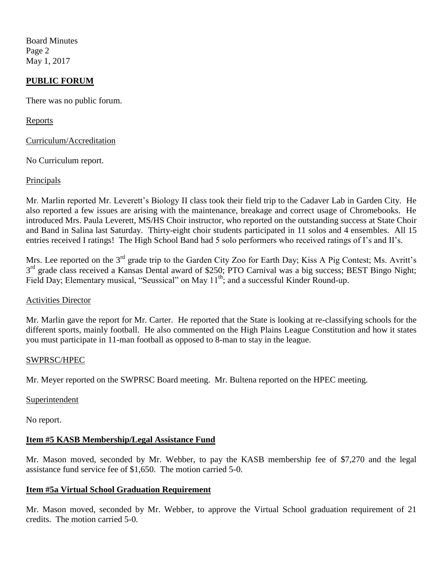Board Minutes Page 2 May 1, 2017

### **PUBLIC FORUM**

There was no public forum.

Reports

Curriculum/Accreditation

No Curriculum report.

### Principals

Mr. Marlin reported Mr. Leverett's Biology II class took their field trip to the Cadaver Lab in Garden City. He also reported a few issues are arising with the maintenance, breakage and correct usage of Chromebooks. He introduced Mrs. Paula Leverett, MS/HS Choir instructor, who reported on the outstanding success at State Choir and Band in Salina last Saturday. Thirty-eight choir students participated in 11 solos and 4 ensembles. All 15 entries received I ratings! The High School Band had 5 solo performers who received ratings of I's and II's.

Mrs. Lee reported on the 3<sup>rd</sup> grade trip to the Garden City Zoo for Earth Day; Kiss A Pig Contest; Ms. Avritt's 3<sup>rd</sup> grade class received a Kansas Dental award of \$250; PTO Carnival was a big success; BEST Bingo Night; Field Day; Elementary musical, "Seussical" on May 11<sup>th</sup>; and a successful Kinder Round-up.

#### Activities Director

Mr. Marlin gave the report for Mr. Carter. He reported that the State is looking at re-classifying schools for the different sports, mainly football. He also commented on the High Plains League Constitution and how it states you must participate in 11-man football as opposed to 8-man to stay in the league.

#### SWPRSC/HPEC

Mr. Meyer reported on the SWPRSC Board meeting. Mr. Bultena reported on the HPEC meeting.

#### Superintendent

No report.

### **Item #5 KASB Membership/Legal Assistance Fund**

Mr. Mason moved, seconded by Mr. Webber, to pay the KASB membership fee of \$7,270 and the legal assistance fund service fee of \$1,650. The motion carried 5-0.

### **Item #5a Virtual School Graduation Requirement**

Mr. Mason moved, seconded by Mr. Webber, to approve the Virtual School graduation requirement of 21 credits. The motion carried 5-0.